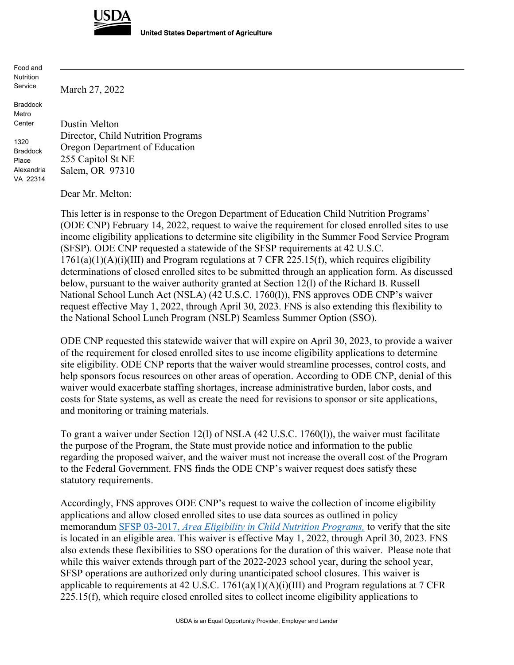

**United States Department of Agriculture** 

Food and **Nutrition** Service

Braddock Metro Center

1320 Braddock Place Alexandria VA 22314 Dustin Melton Director, Child Nutrition Programs Oregon Department of Education 255 Capitol St NE Salem, OR 97310

Dear Mr. Melton:

March 27, 2022

This letter is in response to the Oregon Department of Education Child Nutrition Programs' (ODE CNP) February 14, 2022, request to waive the requirement for closed enrolled sites to use income eligibility applications to determine site eligibility in the Summer Food Service Program (SFSP). ODE CNP requested a statewide of the SFSP requirements at 42 U.S.C.  $1761(a)(1)(A)(i)(III)$  and Program regulations at 7 CFR 225.15(f), which requires eligibility determinations of closed enrolled sites to be submitted through an application form. As discussed below, pursuant to the waiver authority granted at Section 12(l) of the Richard B. Russell National School Lunch Act (NSLA) (42 U.S.C. 1760(l)), FNS approves ODE CNP's waiver request effective May 1, 2022, through April 30, 2023. FNS is also extending this flexibility to the National School Lunch Program (NSLP) Seamless Summer Option (SSO).

ODE CNP requested this statewide waiver that will expire on April 30, 2023, to provide a waiver of the requirement for closed enrolled sites to use income eligibility applications to determine site eligibility. ODE CNP reports that the waiver would streamline processes, control costs, and help sponsors focus resources on other areas of operation. According to ODE CNP, denial of this waiver would exacerbate staffing shortages, increase administrative burden, labor costs, and costs for State systems, as well as create the need for revisions to sponsor or site applications, and monitoring or training materials.

To grant a waiver under Section 12(l) of NSLA (42 U.S.C. 1760(l)), the waiver must facilitate the purpose of the Program, the State must provide notice and information to the public regarding the proposed waiver, and the waiver must not increase the overall cost of the Program to the Federal Government. FNS finds the ODE CNP's waiver request does satisfy these statutory requirements.

Accordingly, FNS approves ODE CNP's request to waive the collection of income eligibility applications and allow closed enrolled sites to use data sources as outlined in policy memorandum SFSP 03-2017, *Area Eligibility [in Child Nutrition Programs,](https://www.fns.usda.gov/cn/area-eligibility-child-nutrition-programs)* to verify that the site is located in an eligible area. This waiver is effective May 1, 2022, through April 30, 2023. FNS also extends these flexibilities to SSO operations for the duration of this waiver. Please note that while this waiver extends through part of the 2022-2023 school year, during the school year, SFSP operations are authorized only during unanticipated school closures. This waiver is applicable to requirements at 42 U.S.C.  $1761(a)(1)(A)(i)(III)$  and Program regulations at 7 CFR 225.15(f), which require closed enrolled sites to collect income eligibility applications to